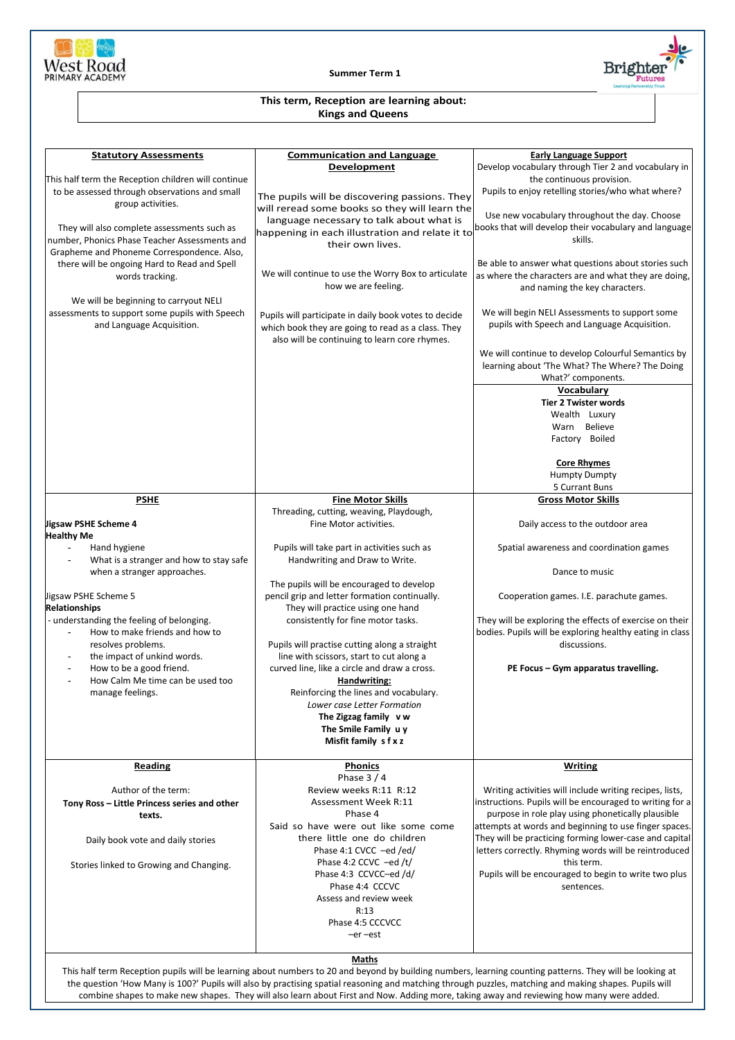

**Summer Term 1**



## **This term, Reception are learning about: Kings and Queens**

| <b>Statutory Assessments</b>                                                | <b>Communication and Language</b><br>Development                                                                                                                                                                                                                                                                   | <b>Early Language Support</b><br>Develop vocabulary through Tier 2 and vocabulary in                                |
|-----------------------------------------------------------------------------|--------------------------------------------------------------------------------------------------------------------------------------------------------------------------------------------------------------------------------------------------------------------------------------------------------------------|---------------------------------------------------------------------------------------------------------------------|
| This half term the Reception children will continue                         |                                                                                                                                                                                                                                                                                                                    | the continuous provision.                                                                                           |
| to be assessed through observations and small<br>group activities.          | The pupils will be discovering passions. They                                                                                                                                                                                                                                                                      | Pupils to enjoy retelling stories/who what where?                                                                   |
|                                                                             | will reread some books so they will learn the                                                                                                                                                                                                                                                                      | Use new vocabulary throughout the day. Choose                                                                       |
| They will also complete assessments such as                                 | language necessary to talk about what is                                                                                                                                                                                                                                                                           | books that will develop their vocabulary and language                                                               |
| number, Phonics Phase Teacher Assessments and                               | happening in each illustration and relate it to                                                                                                                                                                                                                                                                    | skills.                                                                                                             |
| Grapheme and Phoneme Correspondence. Also,                                  | their own lives.                                                                                                                                                                                                                                                                                                   |                                                                                                                     |
| there will be ongoing Hard to Read and Spell                                |                                                                                                                                                                                                                                                                                                                    | Be able to answer what questions about stories such                                                                 |
| words tracking.                                                             | We will continue to use the Worry Box to articulate                                                                                                                                                                                                                                                                | as where the characters are and what they are doing,                                                                |
|                                                                             | how we are feeling.                                                                                                                                                                                                                                                                                                | and naming the key characters.                                                                                      |
| We will be beginning to carryout NELI                                       |                                                                                                                                                                                                                                                                                                                    |                                                                                                                     |
| assessments to support some pupils with Speech<br>and Language Acquisition. | Pupils will participate in daily book votes to decide                                                                                                                                                                                                                                                              | We will begin NELI Assessments to support some<br>pupils with Speech and Language Acquisition.                      |
|                                                                             | which book they are going to read as a class. They<br>also will be continuing to learn core rhymes.                                                                                                                                                                                                                |                                                                                                                     |
|                                                                             |                                                                                                                                                                                                                                                                                                                    |                                                                                                                     |
|                                                                             |                                                                                                                                                                                                                                                                                                                    | We will continue to develop Colourful Semantics by<br>learning about 'The What? The Where? The Doing                |
|                                                                             |                                                                                                                                                                                                                                                                                                                    | What?' components.                                                                                                  |
|                                                                             |                                                                                                                                                                                                                                                                                                                    | Vocabulary                                                                                                          |
|                                                                             |                                                                                                                                                                                                                                                                                                                    | <b>Tier 2 Twister words</b>                                                                                         |
|                                                                             |                                                                                                                                                                                                                                                                                                                    | Wealth Luxury                                                                                                       |
|                                                                             |                                                                                                                                                                                                                                                                                                                    | Warn Believe                                                                                                        |
|                                                                             |                                                                                                                                                                                                                                                                                                                    | Factory Boiled                                                                                                      |
|                                                                             |                                                                                                                                                                                                                                                                                                                    |                                                                                                                     |
|                                                                             |                                                                                                                                                                                                                                                                                                                    | <b>Core Rhymes</b><br><b>Humpty Dumpty</b>                                                                          |
|                                                                             |                                                                                                                                                                                                                                                                                                                    | 5 Currant Buns                                                                                                      |
| <b>PSHE</b>                                                                 | <b>Fine Motor Skills</b>                                                                                                                                                                                                                                                                                           | <b>Gross Motor Skills</b>                                                                                           |
|                                                                             | Threading, cutting, weaving, Playdough,                                                                                                                                                                                                                                                                            |                                                                                                                     |
| Jigsaw PSHE Scheme 4<br>Healthy Me                                          | Fine Motor activities.                                                                                                                                                                                                                                                                                             | Daily access to the outdoor area                                                                                    |
| Hand hygiene                                                                | Pupils will take part in activities such as                                                                                                                                                                                                                                                                        | Spatial awareness and coordination games                                                                            |
| What is a stranger and how to stay safe                                     | Handwriting and Draw to Write.                                                                                                                                                                                                                                                                                     |                                                                                                                     |
| when a stranger approaches.                                                 |                                                                                                                                                                                                                                                                                                                    | Dance to music                                                                                                      |
|                                                                             | The pupils will be encouraged to develop                                                                                                                                                                                                                                                                           |                                                                                                                     |
| Jigsaw PSHE Scheme 5                                                        | pencil grip and letter formation continually.                                                                                                                                                                                                                                                                      | Cooperation games. I.E. parachute games.                                                                            |
| <b>Relationships</b>                                                        | They will practice using one hand                                                                                                                                                                                                                                                                                  |                                                                                                                     |
| - understanding the feeling of belonging.<br>How to make friends and how to | consistently for fine motor tasks.                                                                                                                                                                                                                                                                                 | They will be exploring the effects of exercise on their<br>bodies. Pupils will be exploring healthy eating in class |
| resolves problems.                                                          | Pupils will practise cutting along a straight                                                                                                                                                                                                                                                                      | discussions.                                                                                                        |
| the impact of unkind words.<br>$\overline{\phantom{a}}$                     | line with scissors, start to cut along a                                                                                                                                                                                                                                                                           |                                                                                                                     |
| How to be a good friend.<br>$\overline{\phantom{a}}$                        | curved line, like a circle and draw a cross.                                                                                                                                                                                                                                                                       | PE Focus - Gym apparatus travelling.                                                                                |
| How Calm Me time can be used too<br>÷,                                      | Handwriting:                                                                                                                                                                                                                                                                                                       |                                                                                                                     |
| manage feelings.                                                            | Reinforcing the lines and vocabulary.                                                                                                                                                                                                                                                                              |                                                                                                                     |
|                                                                             | Lower case Letter Formation                                                                                                                                                                                                                                                                                        |                                                                                                                     |
|                                                                             | The Zigzag family vw                                                                                                                                                                                                                                                                                               |                                                                                                                     |
|                                                                             | The Smile Family uy<br>Misfit family s f x z                                                                                                                                                                                                                                                                       |                                                                                                                     |
|                                                                             |                                                                                                                                                                                                                                                                                                                    |                                                                                                                     |
| <b>Reading</b>                                                              | Phonics                                                                                                                                                                                                                                                                                                            | <b>Writing</b>                                                                                                      |
|                                                                             | Phase $3/4$                                                                                                                                                                                                                                                                                                        |                                                                                                                     |
| Author of the term:                                                         | Review weeks R:11 R:12                                                                                                                                                                                                                                                                                             | Writing activities will include writing recipes, lists,                                                             |
| Tony Ross - Little Princess series and other                                | Assessment Week R:11                                                                                                                                                                                                                                                                                               | instructions. Pupils will be encouraged to writing for a                                                            |
| texts.                                                                      | Phase 4<br>Said so have were out like some come                                                                                                                                                                                                                                                                    | purpose in role play using phonetically plausible<br>attempts at words and beginning to use finger spaces.          |
| Daily book vote and daily stories                                           | there little one do children                                                                                                                                                                                                                                                                                       | They will be practicing forming lower-case and capital                                                              |
|                                                                             | Phase 4:1 CVCC -ed /ed/                                                                                                                                                                                                                                                                                            | letters correctly. Rhyming words will be reintroduced                                                               |
| Stories linked to Growing and Changing.                                     | Phase 4:2 CCVC $-ed/t/$                                                                                                                                                                                                                                                                                            | this term.                                                                                                          |
|                                                                             | Phase 4:3 CCVCC-ed /d/                                                                                                                                                                                                                                                                                             | Pupils will be encouraged to begin to write two plus                                                                |
|                                                                             | Phase 4:4 CCCVC                                                                                                                                                                                                                                                                                                    | sentences.                                                                                                          |
|                                                                             | Assess and review week                                                                                                                                                                                                                                                                                             |                                                                                                                     |
|                                                                             | R:13<br>Phase 4:5 CCCVCC                                                                                                                                                                                                                                                                                           |                                                                                                                     |
|                                                                             | $-er$ $-est$                                                                                                                                                                                                                                                                                                       |                                                                                                                     |
|                                                                             |                                                                                                                                                                                                                                                                                                                    |                                                                                                                     |
|                                                                             | Maths                                                                                                                                                                                                                                                                                                              |                                                                                                                     |
|                                                                             | This half term Reception pupils will be learning about numbers to 20 and beyond by building numbers, learning counting patterns. They will be looking at<br>the question 'How Many is 100?' Pupils will also by practising spatial reasoning and matching through puzzles, matching and making shapes. Pupils will |                                                                                                                     |

combine shapes to make new shapes. They will also learn about First and Now. Adding more, taking away and reviewing how many were added.